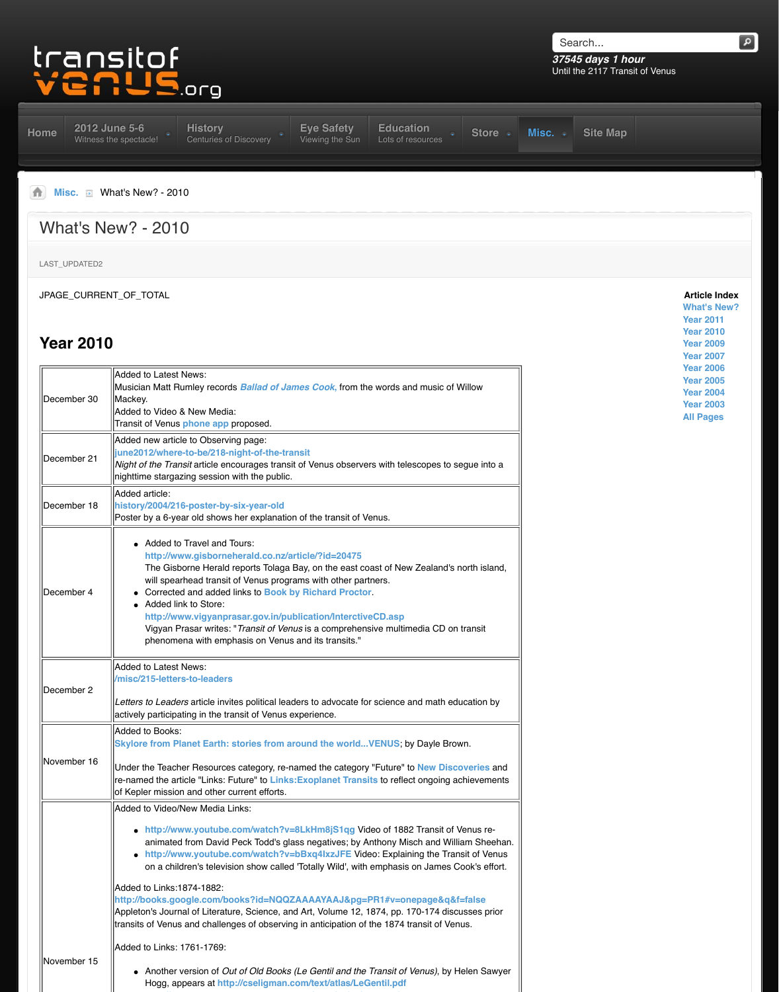| December 30 | Mackey.<br>Added to Video & New Media:<br>Transit of Venus phone app proposed.                                                                                                                                                                                                                                                                                                                                                                                                                                                                                                                                                                                                        |
|-------------|---------------------------------------------------------------------------------------------------------------------------------------------------------------------------------------------------------------------------------------------------------------------------------------------------------------------------------------------------------------------------------------------------------------------------------------------------------------------------------------------------------------------------------------------------------------------------------------------------------------------------------------------------------------------------------------|
| December 21 | Added new article to Observing page:<br>june2012/where-to-be/218-night-of-the-transit<br>Night of the Transit article encourages transit of Venus observers with telescopes to seq<br>nighttime stargazing session with the public.                                                                                                                                                                                                                                                                                                                                                                                                                                                   |
| December 18 | Added article:<br>history/2004/216-poster-by-six-year-old<br>Poster by a 6-year old shows her explanation of the transit of Venus.                                                                                                                                                                                                                                                                                                                                                                                                                                                                                                                                                    |
| December 4  | Added to Travel and Tours:<br>http://www.gisborneherald.co.nz/article/?id=20475<br>The Gisborne Herald reports Tolaga Bay, on the east coast of New Zealand's no<br>will spearhead transit of Venus programs with other partners.<br>Corrected and added links to Book by Richard Proctor.<br>• Added link to Store:<br>http://www.vigyanprasar.gov.in/publication/InterctiveCD.asp<br>Vigyan Prasar writes: "Transit of Venus is a comprehensive multimedia CD on to<br>phenomena with emphasis on Venus and its transits."                                                                                                                                                          |
| December 2  | Added to Latest News:<br>/misc/215-letters-to-leaders<br>Letters to Leaders article invites political leaders to advocate for science and math educ<br>actively participating in the transit of Venus experience.                                                                                                                                                                                                                                                                                                                                                                                                                                                                     |
| November 16 | Added to Books:<br>Skylore from Planet Earth: stories from around the world VENUS; by Dayle Brow<br>Under the Teacher Resources category, re-named the category "Future" to New Discot<br>re-named the article "Links: Future" to Links:Exoplanet Transits to reflect ongoing ach<br>of Kepler mission and other current efforts.                                                                                                                                                                                                                                                                                                                                                     |
|             | Added to Video/New Media Links:<br>• http://www.youtube.com/watch?v=8LkHm8jS1qg Video of 1882 Transit of Ve<br>animated from David Peck Todd's glass negatives; by Anthony Misch and Willia<br>• http://www.youtube.com/watch?v=bBxq4IxzJFE Video: Explaining the Trans<br>on a children's television show called 'Totally Wild', with emphasis on James Co<br>Added to Links:1874-1882:<br>http://books.google.com/books?id=NQQZAAAAYAAJ&pg=PR1#v=onepage&q&f=<br>Appleton's Journal of Literature, Science, and Art, Volume 12, 1874, pp. 170-174 discus<br>transits of Venus and challenges of observing in anticipation of the 1874 transit of Venu<br>Added to Links: 1761-1769: |
| November 15 | • Another version of Out of Old Books (Le Gentil and the Transit of Venus), by He<br>Hogg, appears at http://cseligman.com/text/atlas/LeGentil.pdf                                                                                                                                                                                                                                                                                                                                                                                                                                                                                                                                    |

Musician Matt Rumley records *Ballad of James Cook***,** from the words and music of Willow